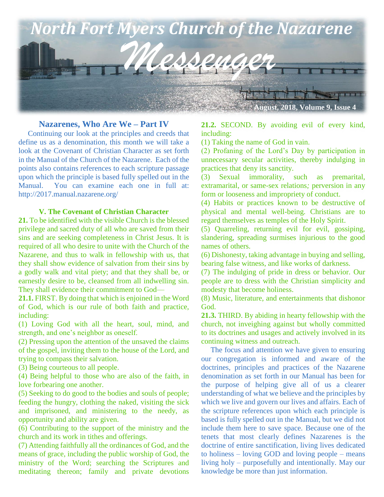

#### **Nazarenes, Who Are We – Part IV**

 Continuing our look at the principles and creeds that define us as a denomination, this month we will take a look at the Covenant of Christian Character as set forth in the Manual of the Church of the Nazarene. Each of the points also contains references to each scripture passage upon which the principle is based fully spelled out in the Manual. You can examine each one in full at: http://2017.manual.nazarene.org/

#### **V. The Covenant of Christian Character**

**21.** To be identified with the visible Church is the blessed privilege and sacred duty of all who are saved from their sins and are seeking completeness in Christ Jesus. It is required of all who desire to unite with the Church of the Nazarene, and thus to walk in fellowship with us, that they shall show evidence of salvation from their sins by a godly walk and vital piety; and that they shall be, or earnestly desire to be, cleansed from all indwelling sin. They shall evidence their commitment to God—

**21.1.** FIRST. By doing that which is enjoined in the Word of God, which is our rule of both faith and practice, including:

(1) Loving God with all the heart, soul, mind, and strength, and one's neighbor as oneself.

(2) Pressing upon the attention of the unsaved the claims of the gospel, inviting them to the house of the Lord, and trying to compass their salvation.

(3) Being courteous to all people.

(4) Being helpful to those who are also of the faith, in love forbearing one another.

(5) Seeking to do good to the bodies and souls of people; feeding the hungry, clothing the naked, visiting the sick and imprisoned, and ministering to the needy, as opportunity and ability are given.

(6) Contributing to the support of the ministry and the church and its work in tithes and offerings.

(7) Attending faithfully all the ordinances of God, and the means of grace, including the public worship of God, the ministry of the Word; searching the Scriptures and meditating thereon; family and private devotions **21.2.** SECOND. By avoiding evil of every kind, including:

(1) Taking the name of God in vain.

(2) Profaning of the Lord's Day by participation in unnecessary secular activities, thereby indulging in practices that deny its sanctity.

(3) Sexual immorality, such as premarital, extramarital, or same-sex relations*;* perversion in any form or looseness and impropriety of conduct.

(4) Habits or practices known to be destructive of physical and mental well-being. Christians are to regard themselves as temples of the Holy Spirit.

(5) Quarreling, returning evil for evil, gossiping, slandering, spreading surmises injurious to the good names of others.

(6) Dishonesty, taking advantage in buying and selling, bearing false witness, and like works of darkness.

(7) The indulging of pride in dress or behavior. Our people are to dress with the Christian simplicity and modesty that become holiness.

(8) Music, literature, and entertainments that dishonor God.

**21.3.** THIRD. By abiding in hearty fellowship with the church, not inveighing against but wholly committed to its doctrines and usages and actively involved in its continuing witness and outreach.

 The focus and attention we have given to ensuring our congregation is informed and aware of the doctrines, principles and practices of the Nazarene denomination as set forth in our Manual has been for the purpose of helping give all of us a clearer understanding of what we believe and the principles by which we live and govern our lives and affairs. Each of the scripture references upon which each principle is based is fully spelled out in the Manual, but we did not include them here to save space. Because one of the tenets that most clearly defines Nazarenes is the doctrine of entire sanctification, living lives dedicated to holiness – loving GOD and loving people – means living holy – purposefully and intentionally. May our knowledge be more than just information.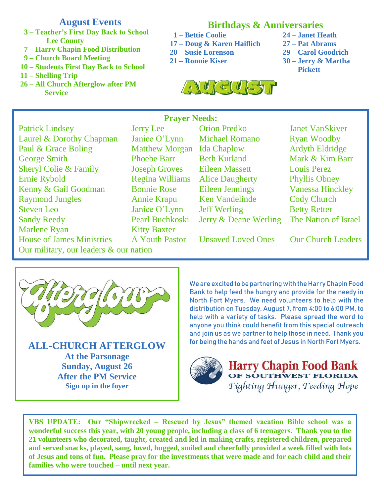# **August Events**

- **3 – Teacher's First Day Back to School Lee County**
- **7 – Harry Chapin Food Distribution**
- **9 – Church Board Meeting**
- **10 – Students First Day Back to School**
- **11 – Shelling Trip**
- **26 – All Church Afterglow after PM Service**

# **Birthdays & Anniversaries**

- **1 – Bettie Coolie 24 – Janet Heath**
- **17 – Doug & Karen Haiflich 27 – Pat Abrams**
- **20 – Susie Lorenson 29 – Carol Goodrich**
- **21 – Ronnie Kiser 30 – Jerry & Martha**
- 
- 
- - **Pickett**



## **Prayer Needs:**

Patrick Lindsey Jerry Lee Orion Predko Janet VanSkiver Laurel & Dorothy Chapman Janice O'Lynn Michael Romano Ryan Woodby Paul & Grace Boling Matthew Morgan Ida Chaplow Ardyth Eldridge George Smith Phoebe Barr Beth Kurland Mark & Kim Barr Sheryl Colie & Family Joseph Groves Eileen Massett Louis Perez Ernie Rybold **Regina Williams** Alice Daugherty Phyllis Obney Kenny & Gail Goodman Bonnie Rose Eileen Jennings Vanessa Hinckley Raymond Jungles Annie Krapu Ken Vandelinde Cody Church Steven Leo Janice O'Lynn Jeff Werling Betty Retter<br>
Sandy Reedy Pearl Buchkoski Jerry & Deane Werling The Nation of Israel Sandy Reedy Pearl Buchkoski Jerry & Deane Werling Marlene Ryan Kitty Baxter House of James Ministries A Youth Pastor Unsaved Loved Ones Our Church Leaders Our military, our leaders & our nation

**Phoebe Barr Joseph Groves** 



**At the Parsonage Sunday, August 26 After the PM Service Sign up in the foyer**

We are excited to be partnering with the Harry Chapin Food Bank to help feed the hungry and provide for the needy in North Fort Myers. We need volunteers to help with the distribution on Tuesday, August 7, from 4:00 to 6:00 PM, to help with a variety of tasks. Please spread the word to anyone you think could benefit from this special outreach and join us as we partner to help those in need. Thank you for being the hands and feet of Jesus in North Fort Myers. **ALL-CHURCH AFTERGLOW**



Harry Chapin Food Bank Fighting Hunger, Feeding Hope

**VBS UPDATE: Our "Shipwrecked – Rescued by Jesus" themed vacation Bible school was a wonderful success this year, with 20 young people, including a class of 6 teenagers. Thank you to the 21 volunteers who decorated, taught, created and led in making crafts, registered children, prepared and served snacks, played, sang, loved, hugged, smiled and cheerfully provided a week filled with lots of Jesus and tons of fun. Please pray for the investments that were made and for each child and their families who were touched – until next year.**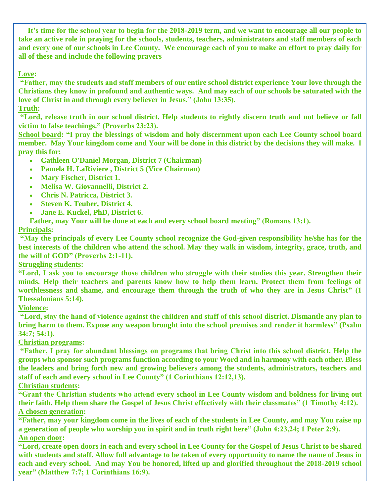**It's time for the school year to begin for the 2018-2019 term, and we want to encourage all our people to take an active role in praying for the schools, students, teachers, administrators and staff members of each and every one of our schools in Lee County. We encourage each of you to make an effort to pray daily for all of these and include the following prayers**

#### **Love:**

**"Father, may the students and staff members of our entire school district experience Your love through the Christians they know in profound and authentic ways. And may each of our schools be saturated with the love of Christ in and through every believer in Jesus." (John 13:35).**

## **Truth:**

**"Lord, release truth in our school district. Help students to rightly discern truth and not believe or fall victim to false teachings." (Proverbs 23:23).**

**School board: "I pray the blessings of wisdom and holy discernment upon each Lee County school board member. May Your kingdom come and Your will be done in this district by the decisions they will make. I pray this for:**

- **Cathleen O'Daniel Morgan, District 7 (Chairman)**
- **Pamela H. LaRiviere , District 5 (Vice Chairman)**
- **Mary Fischer, District 1.**
- **Melisa W. Giovannelli, District 2.**
- **Chris N. Patricca, District 3.**
- **Steven K. Teuber, District 4.**
- **Jane E. Kuckel, PhD, District 6.**

 **Father, may Your will be done at each and every school board meeting" (Romans 13:1).**

## **Principals:**

**"May the principals of every Lee County school recognize the God-given responsibility he/she has for the best interests of the children who attend the school. May they walk in wisdom, integrity, grace, truth, and the will of GOD" (Proverbs 2:1-11).**

## **Struggling students:**

**"Lord, I ask you to encourage those children who struggle with their studies this year. Strengthen their minds. Help their teachers and parents know how to help them learn. Protect them from feelings of worthlessness and shame, and encourage them through the truth of who they are in Jesus Christ" (1 Thessalonians 5:14).**

## **Violence:**

**"Lord, stay the hand of violence against the children and staff of this school district. Dismantle any plan to bring harm to them. Expose any weapon brought into the school premises and render it harmless" (Psalm 34:7; 54:1).**

#### **Christian programs:**

**"Father, I pray for abundant blessings on programs that bring Christ into this school district. Help the groups who sponsor such programs function according to your Word and in harmony with each other. Bless the leaders and bring forth new and growing believers among the students, administrators, teachers and staff of each and every school in Lee County" (1 Corinthians 12:12,13).**

## **Christian students:**

**"Grant the Christian students who attend every school in Lee County wisdom and boldness for living out their faith. Help them share the Gospel of Jesus Christ effectively with their classmates" (1 Timothy 4:12). A chosen generation:**

**"Father, may your kingdom come in the lives of each of the students in Lee County, and may You raise up a generation of people who worship you in spirit and in truth right here" (John 4:23,24; 1 Peter 2:9). An open door:**

**"Lord, create open doors in each and every school in Lee County for the Gospel of Jesus Christ to be shared with students and staff. Allow full advantage to be taken of every opportunity to name the name of Jesus in each and every school. And may You be honored, lifted up and glorified throughout the 2018-2019 school year" (Matthew 7:7; 1 Corinthians 16:9).**